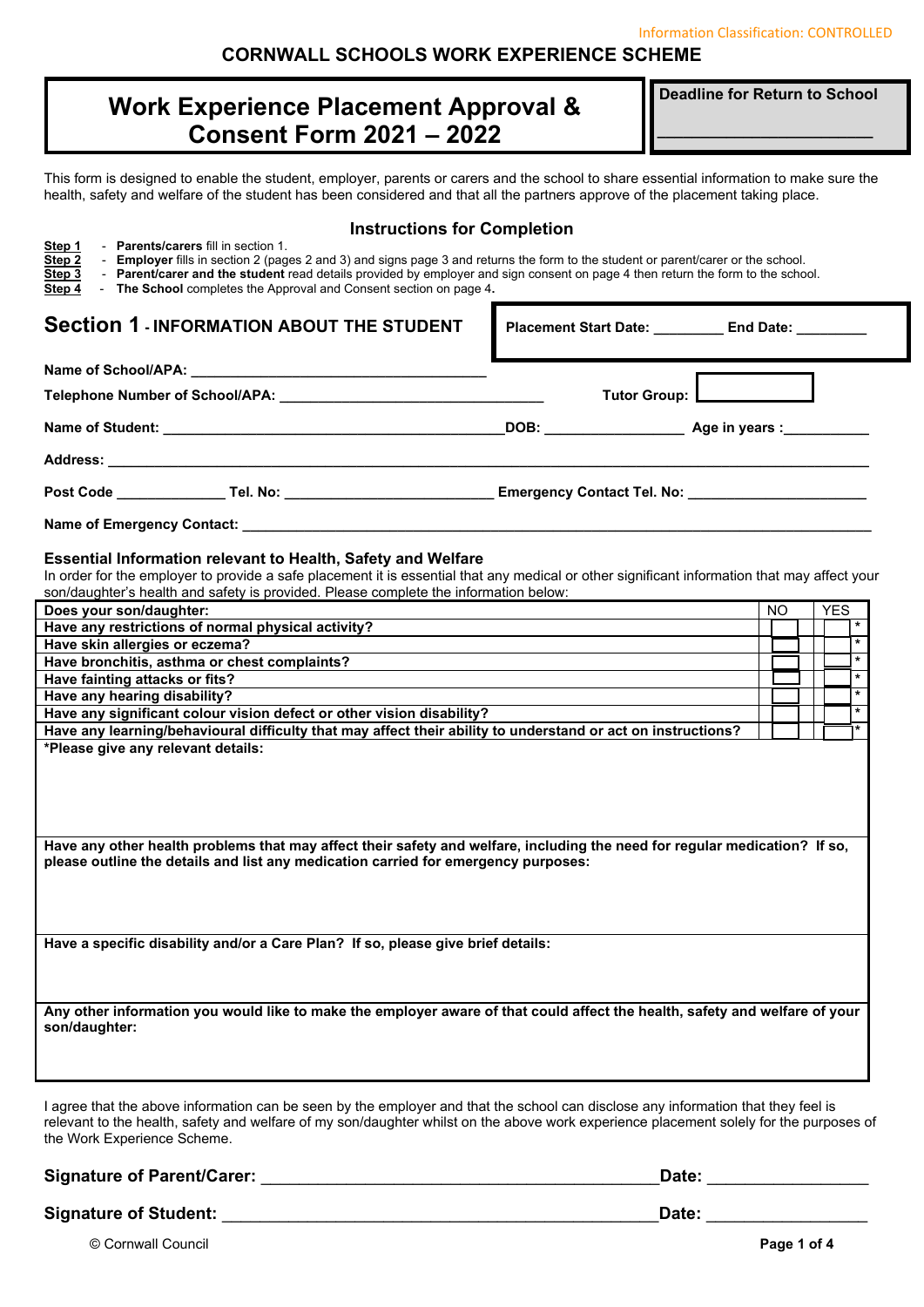Information Classification: CONTROLLED

### **CORNWALL SCHOOLS WORK EXPERIENCE SCHEME**

# **Work Experience Placement Approval & Consent Form 2021 – 2022**

**Deadline for Return to School** 

**\_\_\_\_\_\_\_\_\_\_\_\_\_\_\_\_\_\_\_\_\_\_\_\_\_** 

This form is designed to enable the student, employer, parents or carers and the school to share essential information to make sure the health, safety and welfare of the student has been considered and that all the partners approve of the placement taking place.

| <b>Instructions for Completion</b><br>- Parents/carers fill in section 1.<br>Step 1<br>- Employer fills in section 2 (pages 2 and 3) and signs page 3 and returns the form to the student or parent/carer or the school.<br>Step 2<br>- Parent/carer and the student read details provided by employer and sign consent on page 4 then return the form to the school.<br>Step 3<br>- The School completes the Approval and Consent section on page 4.<br>Step 4 |                                 |     |                    |
|-----------------------------------------------------------------------------------------------------------------------------------------------------------------------------------------------------------------------------------------------------------------------------------------------------------------------------------------------------------------------------------------------------------------------------------------------------------------|---------------------------------|-----|--------------------|
| <b>Section 1 - INFORMATION ABOUT THE STUDENT</b>                                                                                                                                                                                                                                                                                                                                                                                                                | Placement Start Date: End Date: |     |                    |
|                                                                                                                                                                                                                                                                                                                                                                                                                                                                 |                                 |     |                    |
| Telephone Number of School/APA: the control of the control of the control of the control of the control of the control of the control of the control of the control of the control of the control of the control of the contro                                                                                                                                                                                                                                  | <b>Tutor Group:</b>             |     |                    |
|                                                                                                                                                                                                                                                                                                                                                                                                                                                                 |                                 |     |                    |
|                                                                                                                                                                                                                                                                                                                                                                                                                                                                 |                                 |     |                    |
|                                                                                                                                                                                                                                                                                                                                                                                                                                                                 |                                 |     |                    |
|                                                                                                                                                                                                                                                                                                                                                                                                                                                                 |                                 |     |                    |
| <b>Essential Information relevant to Health, Safety and Welfare</b><br>In order for the employer to provide a safe placement it is essential that any medical or other significant information that may affect your<br>son/daughter's health and safety is provided. Please complete the information below:                                                                                                                                                     |                                 |     |                    |
| Does your son/daughter:                                                                                                                                                                                                                                                                                                                                                                                                                                         |                                 | NO. | <b>YES</b>         |
| Have any restrictions of normal physical activity?                                                                                                                                                                                                                                                                                                                                                                                                              |                                 |     | $\star$            |
| Have skin allergies or eczema?                                                                                                                                                                                                                                                                                                                                                                                                                                  |                                 |     | $\star$            |
| Have bronchitis, asthma or chest complaints?                                                                                                                                                                                                                                                                                                                                                                                                                    |                                 |     | $\star$<br>$\star$ |
| Have fainting attacks or fits?                                                                                                                                                                                                                                                                                                                                                                                                                                  |                                 |     | $\star$            |
| Have any hearing disability?                                                                                                                                                                                                                                                                                                                                                                                                                                    |                                 |     | $\pmb{\star}$      |
| Have any significant colour vision defect or other vision disability?                                                                                                                                                                                                                                                                                                                                                                                           |                                 |     |                    |
| Have any learning/behavioural difficulty that may affect their ability to understand or act on instructions?<br>*Please give any relevant details:                                                                                                                                                                                                                                                                                                              |                                 |     |                    |
| Have any other health problems that may affect their safety and welfare, including the need for regular medication? If so,<br>please outline the details and list any medication carried for emergency purposes:                                                                                                                                                                                                                                                |                                 |     |                    |
| Have a specific disability and/or a Care Plan? If so, please give brief details:                                                                                                                                                                                                                                                                                                                                                                                |                                 |     |                    |
| Any other information you would like to make the employer aware of that could affect the health, safety and welfare of your<br>son/daughter:                                                                                                                                                                                                                                                                                                                    |                                 |     |                    |
| I agree that the above information can be seen by the employer and that the school can disclose any information that they feel is<br>relevant to the health, safety and welfare of my son/daughter whilst on the above work experience placement solely for the purposes of<br>the Work Experience Scheme.                                                                                                                                                      |                                 |     |                    |

**Signature of Parent/Carer:** \_\_\_\_\_\_\_\_\_\_\_\_\_\_\_\_\_\_\_\_\_\_\_\_\_\_\_\_\_\_\_\_\_\_\_\_\_\_\_\_\_\_**Date:** \_\_\_\_\_\_\_\_\_\_\_\_\_\_\_\_\_

Signature of Student: **and Student: Signature of Student: and Student: Date: Date: Date: Date: Date: Date: Date: Date: Date: Date: Date: Date: Date: Date: Date: Date: Date: Date: D** 

© Cornwall Council **Page 1 of 4**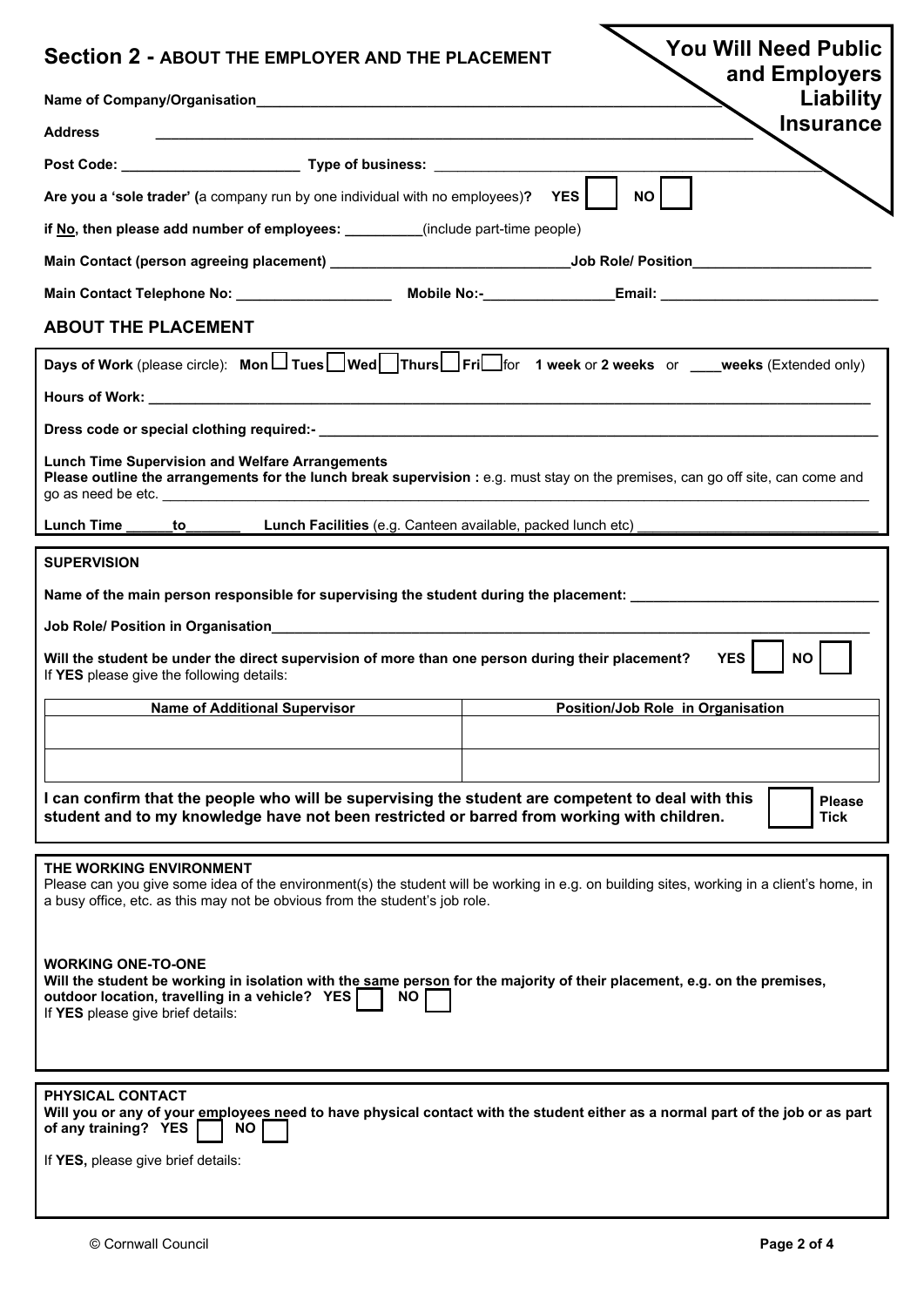| <b>You Will Need Public</b><br><b>Section 2 - ABOUT THE EMPLOYER AND THE PLACEMENT</b><br>and Employers                                                                                                                                             |
|-----------------------------------------------------------------------------------------------------------------------------------------------------------------------------------------------------------------------------------------------------|
| Liability                                                                                                                                                                                                                                           |
| <b>Insurance</b><br><b>Address</b>                                                                                                                                                                                                                  |
|                                                                                                                                                                                                                                                     |
| <b>NO</b><br>Are you a 'sole trader' (a company run by one individual with no employees)? YES                                                                                                                                                       |
| if No, then please add number of employees: ________(include part-time people)                                                                                                                                                                      |
|                                                                                                                                                                                                                                                     |
|                                                                                                                                                                                                                                                     |
| <b>ABOUT THE PLACEMENT</b>                                                                                                                                                                                                                          |
| Days of Work (please circle): Mon $\Box$ Tues Wed Thurs Fri For 1 week or 2 weeks or ___weeks (Extended only)                                                                                                                                       |
|                                                                                                                                                                                                                                                     |
|                                                                                                                                                                                                                                                     |
| <b>Lunch Time Supervision and Welfare Arrangements</b><br>Please outline the arrangements for the lunch break supervision : e.g. must stay on the premises, can go off site, can come and                                                           |
| Lunch Time to<br>Lunch Facilities (e.g. Canteen available, packed lunch etc) ____________________                                                                                                                                                   |
| <b>SUPERVISION</b>                                                                                                                                                                                                                                  |
| Name of the main person responsible for supervising the student during the placement: ____________________                                                                                                                                          |
|                                                                                                                                                                                                                                                     |
| <b>YES</b><br><b>NO</b><br>Will the student be under the direct supervision of more than one person during their placement?<br>If YES please give the following details:                                                                            |
| <b>Name of Additional Supervisor</b><br>Position/Job Role in Organisation                                                                                                                                                                           |
|                                                                                                                                                                                                                                                     |
|                                                                                                                                                                                                                                                     |
| I can confirm that the people who will be supervising the student are competent to deal with this<br><b>Please</b><br>student and to my knowledge have not been restricted or barred from working with children.<br><b>Tick</b>                     |
| THE WORKING ENVIRONMENT<br>Please can you give some idea of the environment(s) the student will be working in e.g. on building sites, working in a client's home, in<br>a busy office, etc. as this may not be obvious from the student's job role. |
| <b>WORKING ONE-TO-ONE</b><br>Will the student be working in isolation with the same person for the majority of their placement, e.g. on the premises,<br>outdoor location, travelling in a vehicle? YES<br>NO.<br>If YES please give brief details: |
| PHYSICAL CONTACT                                                                                                                                                                                                                                    |
| Will you or any of your employees need to have physical contact with the student either as a normal part of the job or as part<br>of any training? YES<br>NO.                                                                                       |
| If YES, please give brief details:                                                                                                                                                                                                                  |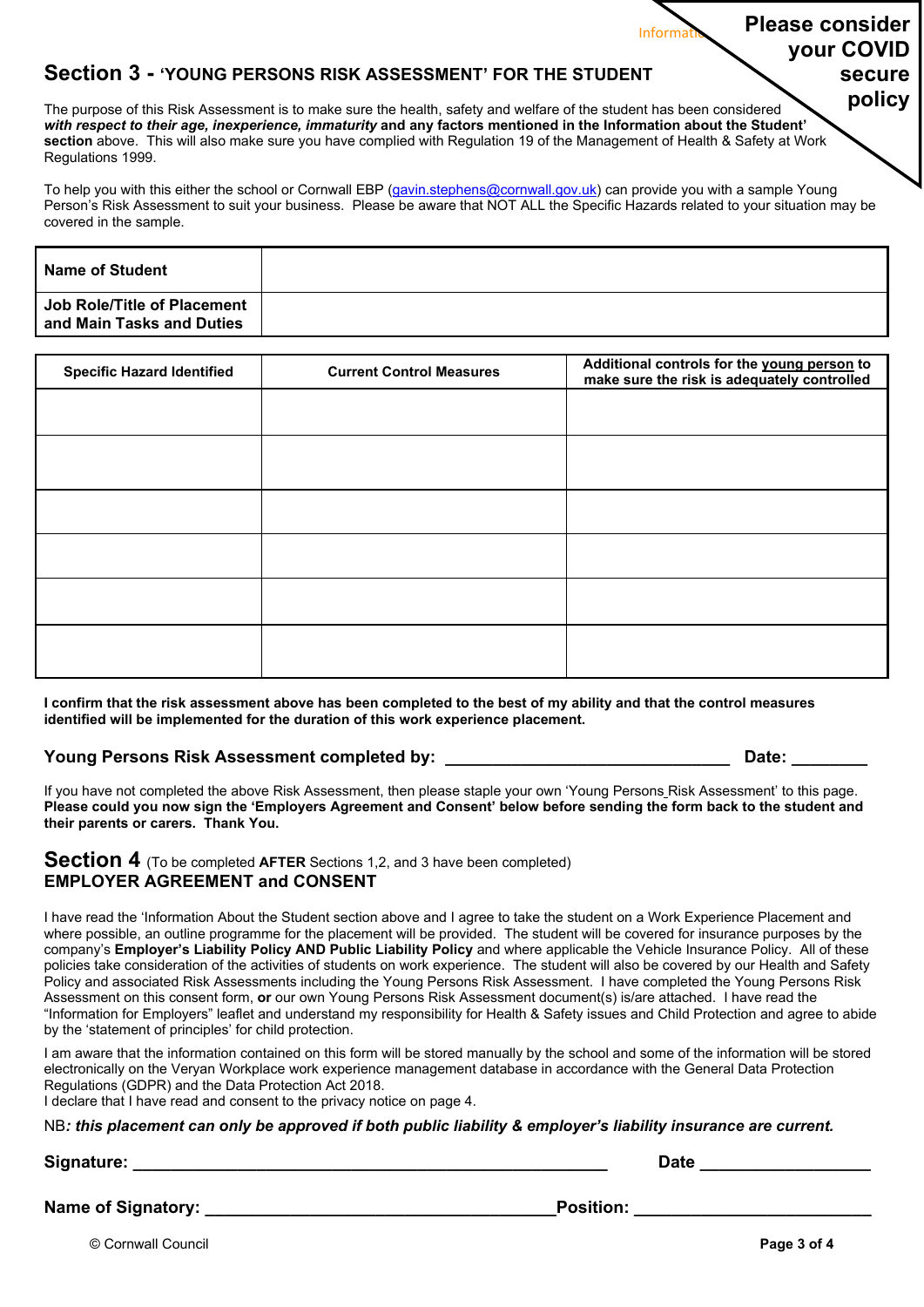### **Section 3 - 'YOUNG PERSONS RISK ASSESSMENT' FOR THE STUDENT**

١ The purpose of this Risk Assessment is to make sure the health, safety and welfare of the student has been considered *with respect to their age, inexperience, immaturity* **and any factors mentioned in the Information about the Student' section** above. This will also make sure you have complied with Regulation 19 of the Management of Health & Safety at Work Regulations 1999.

To help you with this either the school or Cornwall EBP (gavin.stephens@cornwall.gov.uk) can provide you with a sample Young Person's Risk Assessment to suit your business. Please be aware that NOT ALL the Specific Hazards related to your situation may be covered in the sample.

| <b>Name of Student</b>                                   |  |
|----------------------------------------------------------|--|
| Job Role/Title of Placement<br>and Main Tasks and Duties |  |

| <b>Specific Hazard Identified</b> | <b>Current Control Measures</b> | Additional controls for the young person to<br>make sure the risk is adequately controlled |  |
|-----------------------------------|---------------------------------|--------------------------------------------------------------------------------------------|--|
|                                   |                                 |                                                                                            |  |
|                                   |                                 |                                                                                            |  |
|                                   |                                 |                                                                                            |  |
|                                   |                                 |                                                                                            |  |
|                                   |                                 |                                                                                            |  |
|                                   |                                 |                                                                                            |  |

**I confirm that the risk assessment above has been completed to the best of my ability and that the control measures identified will be implemented for the duration of this work experience placement.** 

### **Young Persons Risk Assessment completed by: \_\_\_\_\_\_\_\_\_\_\_\_\_\_\_\_\_\_\_\_\_\_\_\_\_\_\_\_\_\_ Date: \_\_\_\_\_\_\_\_**

**Information:** Please consider

**your COVID** 

**secure policy** 

If you have not completed the above Risk Assessment, then please staple your own 'Young Persons Risk Assessment' to this page. **Please could you now sign the 'Employers Agreement and Consent' below before sending the form back to the student and their parents or carers. Thank You.** 

### **Section 4** (To be completed **AFTER** Sections 1,2, and 3 have been completed) **EMPLOYER AGREEMENT and CONSENT**

I have read the 'Information About the Student section above and I agree to take the student on a Work Experience Placement and where possible, an outline programme for the placement will be provided. The student will be covered for insurance purposes by the company's **Employer's Liability Policy AND Public Liability Policy** and where applicable the Vehicle Insurance Policy. All of these policies take consideration of the activities of students on work experience. The student will also be covered by our Health and Safety Policy and associated Risk Assessments including the Young Persons Risk Assessment. I have completed the Young Persons Risk Assessment on this consent form, **or** our own Young Persons Risk Assessment document(s) is/are attached. I have read the "Information for Employers" leaflet and understand my responsibility for Health & Safety issues and Child Protection and agree to abide by the 'statement of principles' for child protection.

I am aware that the information contained on this form will be stored manually by the school and some of the information will be stored electronically on the Veryan Workplace work experience management database in accordance with the General Data Protection Regulations (GDPR) and the Data Protection Act 2018.

I declare that I have read and consent to the privacy notice on page 4.

NB*: this placement can only be approved if both public liability & employer's liability insurance are current.* 

### **Signature: \_\_\_\_\_\_\_\_\_\_\_\_\_\_\_\_\_\_\_\_\_\_\_\_\_\_\_\_\_\_\_\_\_\_\_\_\_\_\_\_\_\_\_\_\_\_\_\_\_\_ Date \_\_\_\_\_\_\_\_\_\_\_\_\_\_\_\_\_\_**

**Name of Signatory: \_\_\_\_\_\_\_\_\_\_\_\_\_\_\_\_\_\_\_\_\_\_\_\_\_\_\_\_\_\_\_\_\_\_\_\_\_Position: \_\_\_\_\_\_\_\_\_\_\_\_\_\_\_\_\_\_\_\_\_\_\_\_\_** 

© Cornwall Council **Page 3 of 4**